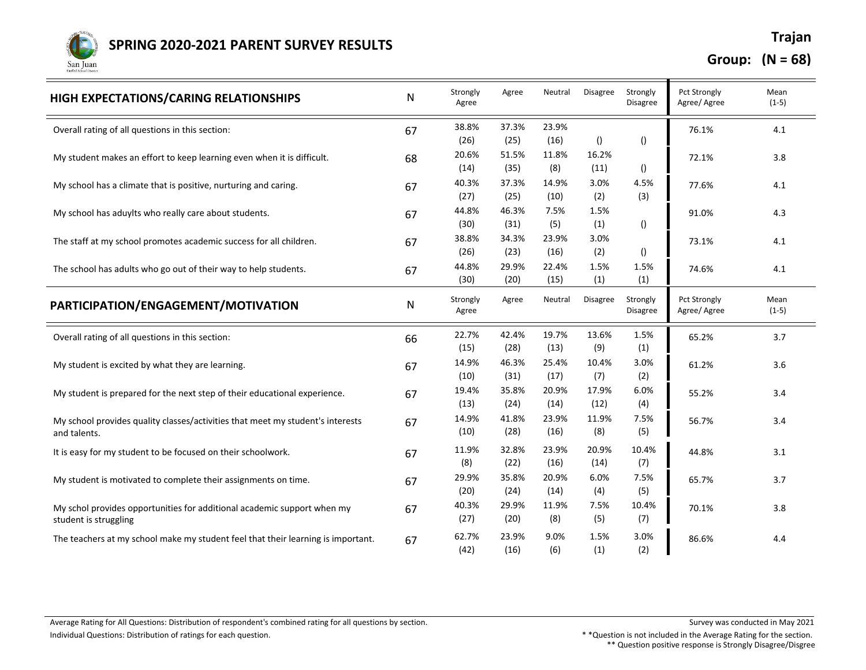

**Group: (N = 68)**

| HIGH EXPECTATIONS/CARING RELATIONSHIPS                                           | ${\sf N}$ | Strongly<br>Agree | Agree | Neutral | <b>Disagree</b>  | Strongly<br>Disagree | <b>Pct Strongly</b><br>Agree/ Agree | Mean<br>$(1-5)$ |
|----------------------------------------------------------------------------------|-----------|-------------------|-------|---------|------------------|----------------------|-------------------------------------|-----------------|
| Overall rating of all questions in this section:                                 | 67        | 38.8%             | 37.3% | 23.9%   |                  |                      | 76.1%                               | 4.1             |
|                                                                                  |           | (26)              | (25)  | (16)    | $\left( \right)$ | $\left( \right)$     |                                     |                 |
| My student makes an effort to keep learning even when it is difficult.           | 68        | 20.6%             | 51.5% | 11.8%   | 16.2%            |                      | 72.1%                               | 3.8             |
|                                                                                  |           | (14)              | (35)  | (8)     | (11)             | $\left( \right)$     |                                     |                 |
| My school has a climate that is positive, nurturing and caring.                  | 67        | 40.3%             | 37.3% | 14.9%   | 3.0%             | 4.5%                 | 77.6%                               | 4.1             |
|                                                                                  |           | (27)              | (25)  | (10)    | (2)              | (3)                  |                                     |                 |
| My school has aduylts who really care about students.                            | 67        | 44.8%             | 46.3% | 7.5%    | 1.5%             |                      | 91.0%                               | 4.3             |
|                                                                                  |           | (30)              | (31)  | (5)     | (1)              | $\left( \right)$     |                                     |                 |
| The staff at my school promotes academic success for all children.               | 67        | 38.8%             | 34.3% | 23.9%   | 3.0%             |                      | 73.1%                               | 4.1             |
|                                                                                  |           | (26)              | (23)  | (16)    | (2)              | 0                    |                                     |                 |
| The school has adults who go out of their way to help students.                  | 67        | 44.8%             | 29.9% | 22.4%   | 1.5%             | 1.5%                 | 74.6%                               | 4.1             |
|                                                                                  |           | (30)              | (20)  | (15)    | (1)              | (1)                  |                                     |                 |
| PARTICIPATION/ENGAGEMENT/MOTIVATION                                              | ${\sf N}$ | Strongly<br>Agree | Agree | Neutral | <b>Disagree</b>  | Strongly<br>Disagree | <b>Pct Strongly</b><br>Agree/ Agree | Mean<br>$(1-5)$ |
| Overall rating of all questions in this section:                                 | 66        | 22.7%             | 42.4% | 19.7%   | 13.6%            | 1.5%                 | 65.2%                               | 3.7             |
|                                                                                  |           | (15)              | (28)  | (13)    | (9)              | (1)                  |                                     |                 |
| My student is excited by what they are learning.                                 | 67        | 14.9%             | 46.3% | 25.4%   | 10.4%            | 3.0%                 | 61.2%                               | 3.6             |
|                                                                                  |           | (10)              | (31)  | (17)    | (7)              | (2)                  |                                     |                 |
| My student is prepared for the next step of their educational experience.        | 67        | 19.4%             | 35.8% | 20.9%   | 17.9%            | 6.0%                 | 55.2%                               | 3.4             |
|                                                                                  |           | (13)              | (24)  | (14)    | (12)             | (4)                  |                                     |                 |
| My school provides quality classes/activities that meet my student's interests   | 67        | 14.9%             | 41.8% | 23.9%   | 11.9%            | 7.5%                 | 56.7%                               | 3.4             |
| and talents.                                                                     |           | (10)              | (28)  | (16)    | (8)              | (5)                  |                                     |                 |
| It is easy for my student to be focused on their schoolwork.                     | 67        | 11.9%             | 32.8% | 23.9%   | 20.9%            | 10.4%                | 44.8%                               | 3.1             |
|                                                                                  |           | (8)               | (22)  | (16)    | (14)             | (7)                  |                                     |                 |
| My student is motivated to complete their assignments on time.                   | 67        | 29.9%             | 35.8% | 20.9%   | 6.0%             | 7.5%                 | 65.7%                               | 3.7             |
|                                                                                  |           | (20)              | (24)  | (14)    | (4)              | (5)                  |                                     |                 |
| My schol provides opportunities for additional academic support when my          | 67        | 40.3%             | 29.9% | 11.9%   | 7.5%             | 10.4%                | 70.1%                               | 3.8             |
| student is struggling                                                            |           | (27)              | (20)  | (8)     | (5)              | (7)                  |                                     |                 |
|                                                                                  |           | 62.7%             | 23.9% | 9.0%    | 1.5%             | 3.0%                 |                                     |                 |
| The teachers at my school make my student feel that their learning is important. | 67        | (42)              | (16)  | (6)     | (1)              | (2)                  | 86.6%                               | 4.4             |
|                                                                                  |           |                   |       |         |                  |                      |                                     |                 |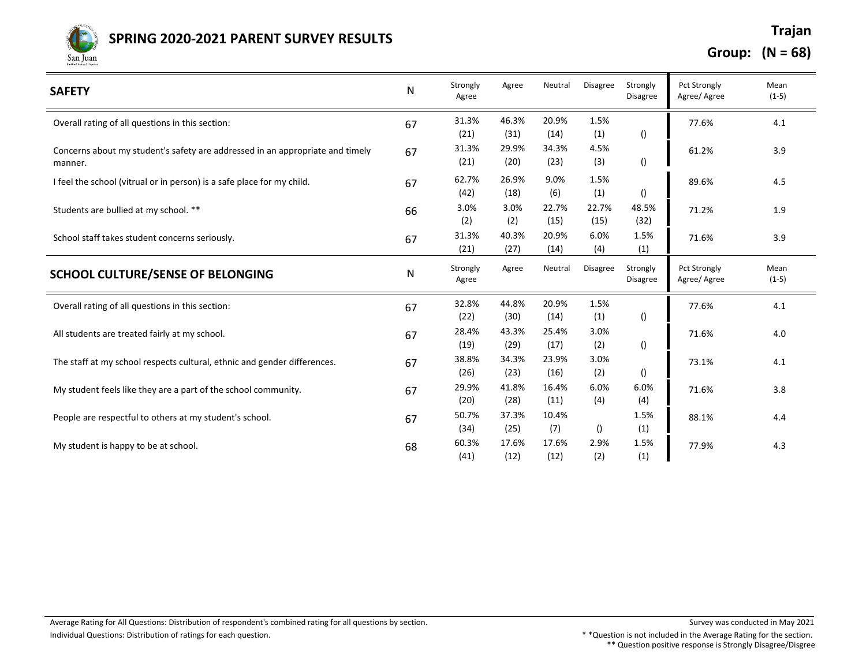

## **Trajan SPRING 2020-2021 PARENT SURVEY RESULTS**

**Group: (N = 68)**

| <b>SAFETY</b>                                                                            | N  | Strongly<br>Agree | Agree         | Neutral       | <b>Disagree</b> | Strongly<br><b>Disagree</b> | <b>Pct Strongly</b><br>Agree/Agree | Mean<br>$(1-5)$ |
|------------------------------------------------------------------------------------------|----|-------------------|---------------|---------------|-----------------|-----------------------------|------------------------------------|-----------------|
| Overall rating of all questions in this section:                                         | 67 | 31.3%<br>(21)     | 46.3%<br>(31) | 20.9%<br>(14) | 1.5%<br>(1)     | $\left( \right)$            | 77.6%                              | 4.1             |
| Concerns about my student's safety are addressed in an appropriate and timely<br>manner. | 67 | 31.3%<br>(21)     | 29.9%<br>(20) | 34.3%<br>(23) | 4.5%<br>(3)     | $\left( \right)$            | 61.2%                              | 3.9             |
| I feel the school (vitrual or in person) is a safe place for my child.                   | 67 | 62.7%<br>(42)     | 26.9%<br>(18) | 9.0%<br>(6)   | 1.5%<br>(1)     | $\left( \right)$            | 89.6%                              | 4.5             |
| Students are bullied at my school. **                                                    | 66 | 3.0%<br>(2)       | 3.0%<br>(2)   | 22.7%<br>(15) | 22.7%<br>(15)   | 48.5%<br>(32)               | 71.2%                              | 1.9             |
| School staff takes student concerns seriously.                                           | 67 | 31.3%<br>(21)     | 40.3%<br>(27) | 20.9%<br>(14) | 6.0%<br>(4)     | 1.5%<br>(1)                 | 71.6%                              | 3.9             |
| <b>SCHOOL CULTURE/SENSE OF BELONGING</b>                                                 | N  | Strongly<br>Agree | Agree         | Neutral       | <b>Disagree</b> | Strongly<br><b>Disagree</b> | Pct Strongly<br>Agree/Agree        | Mean<br>$(1-5)$ |
| Overall rating of all questions in this section:                                         | 67 | 32.8%<br>(22)     | 44.8%<br>(30) | 20.9%<br>(14) | 1.5%<br>(1)     | $\left( \right)$            | 77.6%                              | 4.1             |
| All students are treated fairly at my school.                                            | 67 | 28.4%<br>(19)     | 43.3%<br>(29) | 25.4%<br>(17) | 3.0%<br>(2)     | $\left( \right)$            | 71.6%                              | 4.0             |
| The staff at my school respects cultural, ethnic and gender differences.                 | 67 | 38.8%<br>(26)     | 34.3%<br>(23) | 23.9%<br>(16) | 3.0%<br>(2)     | ()                          | 73.1%                              | 4.1             |
| My student feels like they are a part of the school community.                           | 67 | 29.9%<br>(20)     | 41.8%<br>(28) | 16.4%<br>(11) | 6.0%<br>(4)     | 6.0%<br>(4)                 | 71.6%                              | 3.8             |
| People are respectful to others at my student's school.                                  | 67 | 50.7%<br>(34)     | 37.3%<br>(25) | 10.4%<br>(7)  | ()              | 1.5%<br>(1)                 | 88.1%                              | 4.4             |
| My student is happy to be at school.                                                     | 68 | 60.3%<br>(41)     | 17.6%<br>(12) | 17.6%<br>(12) | 2.9%<br>(2)     | 1.5%<br>(1)                 | 77.9%                              | 4.3             |

\*\* Question positive response is Strongly Disagree/Disgree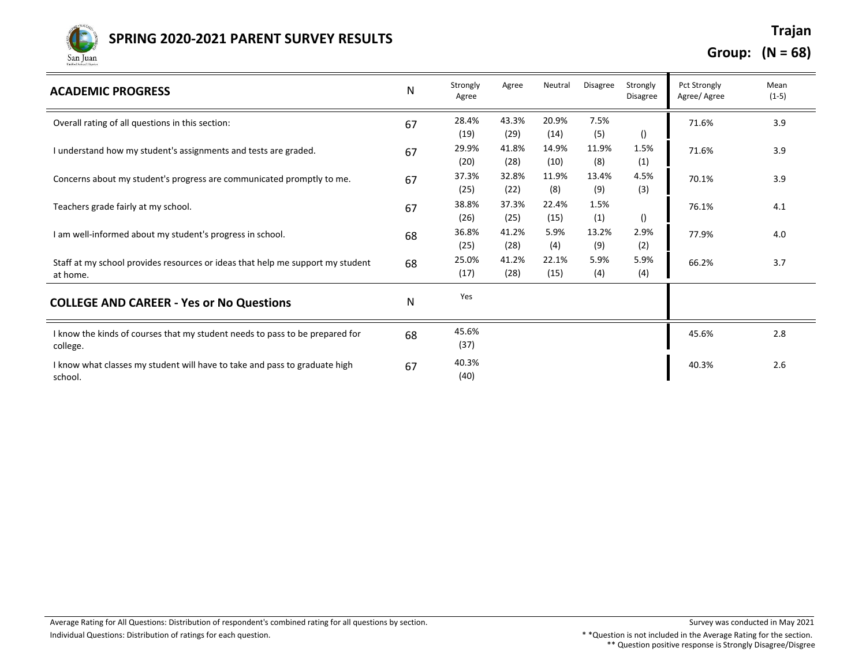

## **Trajan SPRING 2020-2021 PARENT SURVEY RESULTS**

**Group: (N = 68)**

| <b>ACADEMIC PROGRESS</b>                                                                   | N  | Strongly<br>Agree | Agree         | Neutral       | <b>Disagree</b> | Strongly<br><b>Disagree</b> | Pct Strongly<br>Agree/Agree | Mean<br>$(1-5)$ |
|--------------------------------------------------------------------------------------------|----|-------------------|---------------|---------------|-----------------|-----------------------------|-----------------------------|-----------------|
| Overall rating of all questions in this section:                                           | 67 | 28.4%<br>(19)     | 43.3%<br>(29) | 20.9%<br>(14) | 7.5%<br>(5)     | $\left( \right)$            | 71.6%                       | 3.9             |
| I understand how my student's assignments and tests are graded.                            | 67 | 29.9%<br>(20)     | 41.8%<br>(28) | 14.9%<br>(10) | 11.9%<br>(8)    | 1.5%<br>(1)                 | 71.6%                       | 3.9             |
| Concerns about my student's progress are communicated promptly to me.                      | 67 | 37.3%<br>(25)     | 32.8%<br>(22) | 11.9%<br>(8)  | 13.4%<br>(9)    | 4.5%<br>(3)                 | 70.1%                       | 3.9             |
| Teachers grade fairly at my school.                                                        | 67 | 38.8%<br>(26)     | 37.3%<br>(25) | 22.4%<br>(15) | 1.5%<br>(1)     | $\left( \right)$            | 76.1%                       | 4.1             |
| I am well-informed about my student's progress in school.                                  | 68 | 36.8%<br>(25)     | 41.2%<br>(28) | 5.9%<br>(4)   | 13.2%<br>(9)    | 2.9%<br>(2)                 | 77.9%                       | 4.0             |
| Staff at my school provides resources or ideas that help me support my student<br>at home. | 68 | 25.0%<br>(17)     | 41.2%<br>(28) | 22.1%<br>(15) | 5.9%<br>(4)     | 5.9%<br>(4)                 | 66.2%                       | 3.7             |
| <b>COLLEGE AND CAREER - Yes or No Questions</b>                                            | N  | Yes               |               |               |                 |                             |                             |                 |
| I know the kinds of courses that my student needs to pass to be prepared for<br>college.   | 68 | 45.6%<br>(37)     |               |               |                 |                             | 45.6%                       | 2.8             |
| I know what classes my student will have to take and pass to graduate high<br>school.      | 67 | 40.3%<br>(40)     |               |               |                 |                             | 40.3%                       | 2.6             |

\*\* Question positive response is Strongly Disagree/Disgree